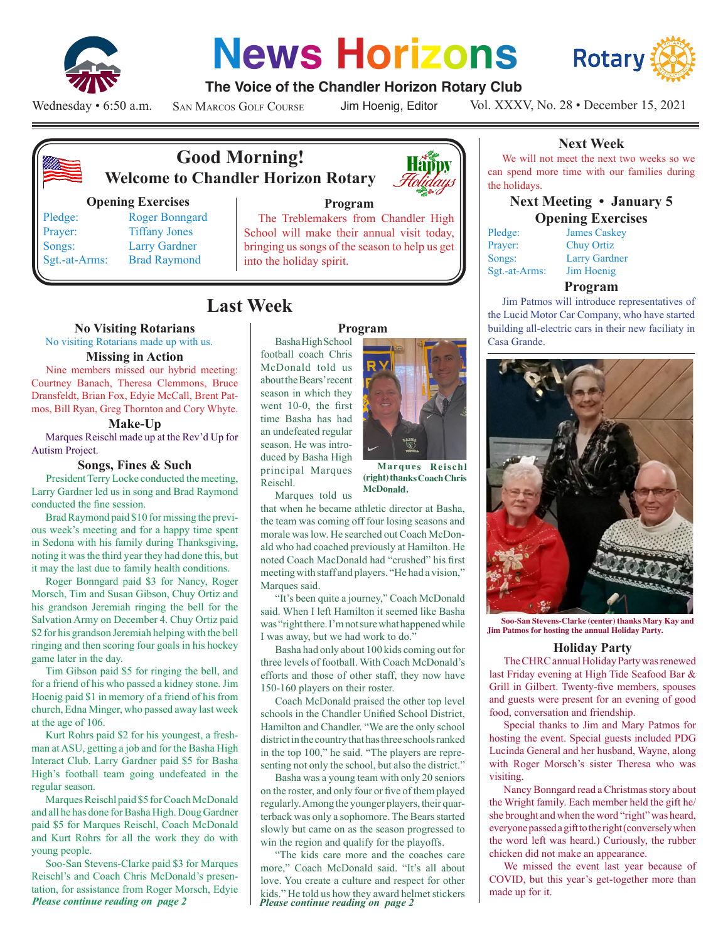

# **News Horizons**



#### **The Voice of the Chandler Horizon Rotary Club**

Wednesday • 6:50 a.m.

San Marcos Golf Course

Jim Hoenig, Editor

Vol. XXXV, No. 28 • December 15, 2021



### **Good Morning! Welcome to Chandler Horizon Rotary**

#### **Opening Exercises**

Pledge: Roger Bonngard Prayer: Tiffany Jones Songs: Larry Gardner Sgt.-at-Arms: Brad Raymond

# **Program**

The Treblemakers from Chandler High School will make their annual visit today, bringing us songs of the season to help us get into the holiday spirit.

## **Last Week**

#### **No Visiting Rotarians**

No visiting Rotarians made up with us.

#### **Missing in Action**

Nine members missed our hybrid meeting: Courtney Banach, Theresa Clemmons, Bruce Dransfeldt, Brian Fox, Edyie McCall, Brent Patmos, Bill Ryan, Greg Thornton and Cory Whyte.

#### **Make-Up**

Marques Reischl made up at the Rev'd Up for Autism Project.

#### **Songs, Fines & Such**

President Terry Locke conducted the meeting, Larry Gardner led us in song and Brad Raymond conducted the fine session.

Brad Raymond paid \$10 for missing the previous week's meeting and for a happy time spent in Sedona with his family during Thanksgiving, noting it was the third year they had done this, but it may the last due to family health conditions.

Roger Bonngard paid \$3 for Nancy, Roger Morsch, Tim and Susan Gibson, Chuy Ortiz and his grandson Jeremiah ringing the bell for the Salvation Army on December 4. Chuy Ortiz paid \$2 for his grandson Jeremiah helping with the bell ringing and then scoring four goals in his hockey game later in the day.

Tim Gibson paid \$5 for ringing the bell, and for a friend of his who passed a kidney stone. Jim Hoenig paid \$1 in memory of a friend of his from church, Edna Minger, who passed away last week at the age of 106.

Kurt Rohrs paid \$2 for his youngest, a freshman at ASU, getting a job and for the Basha High Interact Club. Larry Gardner paid \$5 for Basha High's football team going undefeated in the regular season.

Marques Reischl paid \$5 for Coach McDonald and all he has done for Basha High. Doug Gardner paid \$5 for Marques Reischl, Coach McDonald and Kurt Rohrs for all the work they do with young people.

*Please continue reading on page 2* Soo-San Stevens-Clarke paid \$3 for Marques Reischl's and Coach Chris McDonald's presentation, for assistance from Roger Morsch, Edyie

#### **Program**

Basha High School football coach Chris McDonald told us about the Bears' recent season in which they went 10-0, the first time Basha has had an undefeated regular season. He was introduced by Basha High principal Marques Reischl.



**Marques Reischl (right) thanks Coach Chris McDonald.**

Marques told us that when he became athletic director at Basha, the team was coming off four losing seasons and morale was low. He searched out Coach McDonald who had coached previously at Hamilton. He noted Coach MacDonald had "crushed" his first meeting with staff and players. "He had a vision,"

Marques said. "It's been quite a journey," Coach McDonald said. When I left Hamilton it seemed like Basha was "right there. I'm not sure what happened while I was away, but we had work to do."

Basha had only about 100 kids coming out for three levels of football. With Coach McDonald's efforts and those of other staff, they now have 150-160 players on their roster.

Coach McDonald praised the other top level schools in the Chandler Unified School District, Hamilton and Chandler. "We are the only school district in the country that has three schools ranked in the top 100," he said. "The players are representing not only the school, but also the district."

Basha was a young team with only 20 seniors on the roster, and only four or five of them played regularly. Among the younger players, their quarterback was only a sophomore. The Bears started slowly but came on as the season progressed to win the region and qualify for the playoffs.

*Please continue reading on page 2* "The kids care more and the coaches care more," Coach McDonald said. "It's all about love. You create a culture and respect for other kids." He told us how they award helmet stickers

#### **Next Week**

We will not meet the next two weeks so we can spend more time with our families during the holidays.

#### **Next Meeting • January 5 Opening Exercises**

| <b>James Caskey</b>  |
|----------------------|
| <b>Chuy Ortiz</b>    |
| <b>Larry Gardner</b> |
| Jim Hoenig           |
|                      |

Larry Gardner

#### **Program**

Jim Patmos will introduce representatives of the Lucid Motor Car Company, who have started building all-electric cars in their new faciliaty in Casa Grande.



**Soo-San Stevens-Clarke (center) thanks Mary Kay and Jim Patmos for hosting the annual Holiday Party.**

#### **Holiday Party**

The CHRC annual Holiday Party was renewed last Friday evening at High Tide Seafood Bar & Grill in Gilbert. Twenty-five members, spouses and guests were present for an evening of good food, conversation and friendship.

Special thanks to Jim and Mary Patmos for hosting the event. Special guests included PDG Lucinda General and her husband, Wayne, along with Roger Morsch's sister Theresa who was visiting.

Nancy Bonngard read a Christmas story about the Wright family. Each member held the gift he/ she brought and when the word "right" was heard, everyone passed a gift to the right (conversely when the word left was heard.) Curiously, the rubber chicken did not make an appearance.

We missed the event last year because of COVID, but this year's get-together more than made up for it.